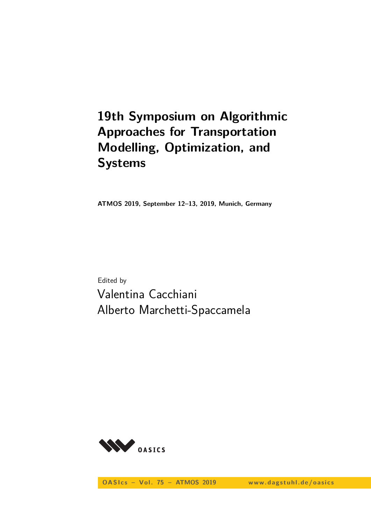# **19th Symposium on Algorithmic Approaches for Transportation Modelling, Optimization, and Systems**

**ATMOS 2019, September 12–13, 2019, Munich, Germany**

Edited by Valentina Cacchiani Alberto Marchetti-Spaccamela

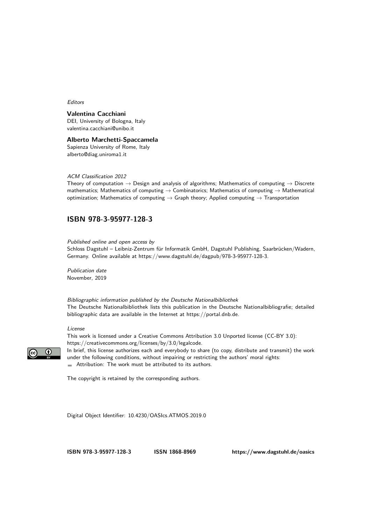#### Editors

#### **Valentina Cacchiani**

DEI, University of Bologna, Italy [valentina.cacchiani@unibo.it](mailto:valentina.cacchiani@unibo.it)

#### **Alberto Marchetti-Spaccamela**

Sapienza University of Rome, Italy [alberto@diag.uniroma1.it](mailto:alberto@diag.uniroma1.it)

#### ACM Classification 2012

Theory of computation  $\rightarrow$  Design and analysis of algorithms; Mathematics of computing  $\rightarrow$  Discrete mathematics; Mathematics of computing  $\rightarrow$  Combinatorics; Mathematics of computing  $\rightarrow$  Mathematical optimization; Mathematics of computing  $\rightarrow$  Graph theory; Applied computing  $\rightarrow$  Transportation

#### **[ISBN 978-3-95977-128-3](https://www.dagstuhl.de/dagpub/978-3-95977-128-3)**

Published online and open access by

Schloss Dagstuhl – Leibniz-Zentrum für Informatik GmbH, Dagstuhl Publishing, Saarbrücken/Wadern, Germany. Online available at [https://www.dagstuhl.de/dagpub/978-3-95977-128-3.](https://www.dagstuhl.de/dagpub/978-3-95977-128-3)

Publication date November, 2019

Bibliographic information published by the Deutsche Nationalbibliothek The Deutsche Nationalbibliothek lists this publication in the Deutsche Nationalbibliografie; detailed bibliographic data are available in the Internet at [https://portal.dnb.de.](https://portal.dnb.de)

#### License



This work is licensed under a Creative Commons Attribution 3.0 Unported license (CC-BY 3.0): [https://creativecommons.org/licenses/by/3.0/legalcode.](https://creativecommons.org/licenses/by/3.0/legalcode) In brief, this license authorizes each and everybody to share (to copy, distribute and transmit) the work under the following conditions, without impairing or restricting the authors' moral rights:

Attribution: The work must be attributed to its authors.

The copyright is retained by the corresponding authors.

Digital Object Identifier: [10.4230/OASIcs.ATMOS.2019.0](https://doi.org/10.4230/OASIcs.ATMOS.2019.0)

**[ISBN 978-3-95977-128-3](https://www.dagstuhl.de/dagpub/978-3-95977-128-3) [ISSN 1868-8969](https://www.dagstuhl.de/dagpub/1868-8969)<https://www.dagstuhl.de/oasics>**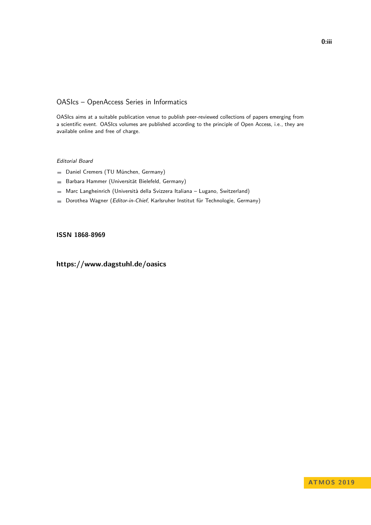#### OASIcs – OpenAccess Series in Informatics

OASIcs aims at a suitable publication venue to publish peer-reviewed collections of papers emerging from a scientific event. OASIcs volumes are published according to the principle of Open Access, i.e., they are available online and free of charge.

#### Editorial Board

- Daniel Cremers (TU München, Germany)
- Barbara Hammer (Universität Bielefeld, Germany)  $\frac{1}{2}$
- Marc Langheinrich (Università della Svizzera Italiana Lugano, Switzerland)
- Dorothea Wagner (Editor-in-Chief, Karlsruher Institut für Technologie, Germany)  $\blacksquare$

#### **[ISSN 1868-8969](https://www.dagstuhl.de/dagpub/1868-8969)**

### **<https://www.dagstuhl.de/oasics>**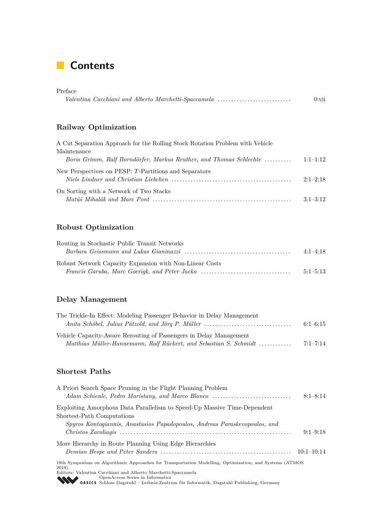# **Contents**

| Preface                                              |      |
|------------------------------------------------------|------|
| Valentina Cacchiani and Alberto Marchetti-Spaccamela | 0:vi |

### **Railway Optimization**

| A Cut Separation Approach for the Rolling Stock Rotation Problem with Vehicle |            |
|-------------------------------------------------------------------------------|------------|
| Maintenance                                                                   |            |
| Boris Grimm, Ralf Borndörfer, Markus Reuther, and Thomas Schlechte            | $1:1-1:12$ |
| New Perspectives on PESP: T-Partitions and Separators                         | $2:1-2:18$ |
| On Sorting with a Network of Two Stacks                                       |            |
|                                                                               | $3:1-3:12$ |

### **Robust Optimization**

| Routing in Stochastic Public Transit Networks           | $4:1-4:18$ |
|---------------------------------------------------------|------------|
| Robust Network Capacity Expansion with Non-Linear Costs |            |
| Francis Garuba, Marc Goerigk, and Peter Jacko           | $5:1-5:13$ |

### **Delay Management**

| The Trickle-In Effect: Modeling Passenger Behavior in Delay Management |              |
|------------------------------------------------------------------------|--------------|
|                                                                        | $6:1-6:15$   |
| Vehicle Capacity-Aware Rerouting of Passengers in Delay Management     |              |
| Matthias Müller-Hannemann, Ralf Rückert, and Sebastian S. Schmidt      | $7:1 - 7:14$ |

#### **Shortest Paths**

| A Priori Search Space Pruning in the Flight Planning Problem                                                                      |              |
|-----------------------------------------------------------------------------------------------------------------------------------|--------------|
| Adam Schienle, Pedro Maristany, and Marco Blanco                                                                                  | $8:1 - 8:14$ |
| Exploiting Amorphous Data Parallelism to Speed-Up Massive Time-Dependent                                                          |              |
| Shortest-Path Computations                                                                                                        |              |
| Spyros Kontogiannis, Anastasios Papadopoulos, Andreas Paraskevopoulos, and                                                        |              |
|                                                                                                                                   | $9:1-9:18$   |
| More Hierarchy in Route Planning Using Edge Hierarchies                                                                           |              |
|                                                                                                                                   |              |
| 19th Symposium on Algorithmic Approaches for Transportation Modelling, Optimization, and Systems (ATMOS)<br>$2019$ ).             |              |
| Editors: Valentina Cacchiani and Alberto Marchetti-Spaccamela                                                                     |              |
| OpenAccess Series in Informatics<br><b>OASICS</b> Schloss Dagstuhl – Leibniz-Zentrum für Informatik, Dagstuhl Publishing, Germany |              |
|                                                                                                                                   |              |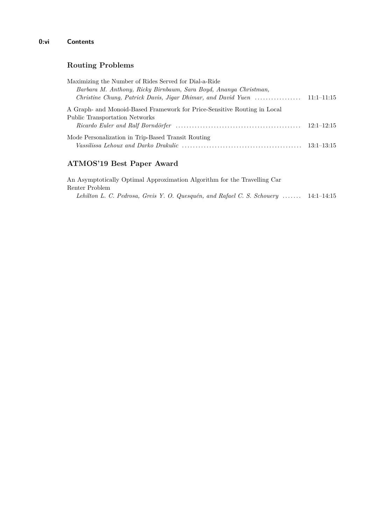#### **0:vi Contents**

### **Routing Problems**

| Maximizing the Number of Rides Served for Dial-a-Ride                                      |                |
|--------------------------------------------------------------------------------------------|----------------|
| Barbara M. Anthony, Ricky Birnbaum, Sara Boyd, Ananya Christman,                           |                |
| Christine Chung, Patrick Davis, Jigar Dhimar, and David Yuen $\ldots \ldots \ldots \ldots$ | $11:1-11:15$   |
| A Graph- and Monoid-Based Framework for Price-Sensitive Routing in Local                   |                |
| <b>Public Transportation Networks</b>                                                      |                |
|                                                                                            | $12:1 - 12:15$ |
| Mode Personalization in Trip-Based Transit Routing                                         |                |
|                                                                                            | $13:1 - 13:15$ |

### **ATMOS'19 Best Paper Award**

An Asymptotically Optimal Approximation Algorithm for the Travelling Car Renter Problem *Lehilton L. C. Pedrosa, Greis Y. O. Quesquén, and Rafael C. S. Schouery* . . . . . . . 14:1–14:15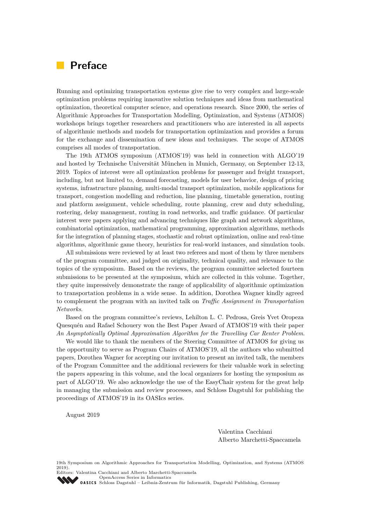## <span id="page-6-0"></span>**Preface**

Running and optimizing transportation systems give rise to very complex and large-scale optimization problems requiring innovative solution techniques and ideas from mathematical optimization, theoretical computer science, and operations research. Since 2000, the series of Algorithmic Approaches for Transportation Modelling, Optimization, and Systems (ATMOS) workshops brings together researchers and practitioners who are interested in all aspects of algorithmic methods and models for transportation optimization and provides a forum for the exchange and dissemination of new ideas and techniques. The scope of ATMOS comprises all modes of transportation.

The 19th ATMOS symposium (ATMOS'19) was held in connection with ALGO'19 and hosted by Technische Universität München in Munich, Germany, on September 12-13, 2019. Topics of interest were all optimization problems for passenger and freight transport, including, but not limited to, demand forecasting, models for user behavior, design of pricing systems, infrastructure planning, multi-modal transport optimization, mobile applications for transport, congestion modelling and reduction, line planning, timetable generation, routing and platform assignment, vehicle scheduling, route planning, crew and duty scheduling, rostering, delay management, routing in road networks, and traffic guidance. Of particular interest were papers applying and advancing techniques like graph and network algorithms, combinatorial optimization, mathematical programming, approximation algorithms, methods for the integration of planning stages, stochastic and robust optimization, online and real-time algorithms, algorithmic game theory, heuristics for real-world instances, and simulation tools.

All submissions were reviewed by at least two referees and most of them by three members of the program committee, and judged on originality, technical quality, and relevance to the topics of the symposium. Based on the reviews, the program committee selected fourteen submissions to be presented at the symposium, which are collected in this volume. Together, they quite impressively demonstrate the range of applicability of algorithmic optimization to transportation problems in a wide sense. In addition, Dorothea Wagner kindly agreed to complement the program with an invited talk on *Traffic Assignment in Transportation Networks*.

Based on the program committee's reviews, Lehilton L. C. Pedrosa, Greis Yvet Oropeza Quesquén and Rafael Schouery won the Best Paper Award of ATMOS'19 with their paper *An Asymptotically Optimal Approximation Algorithm for the Travelling Car Renter Problem*.

We would like to thank the members of the Steering Committee of ATMOS for giving us the opportunity to serve as Program Chairs of ATMOS'19, all the authors who submitted papers, Dorothea Wagner for accepting our invitation to present an invited talk, the members of the Program Committee and the additional reviewers for their valuable work in selecting the papers appearing in this volume, and the local organizers for hosting the symposium as part of ALGO'19. We also acknowledge the use of the EasyChair system for the great help in managing the submission and review processes, and Schloss Dagstuhl for publishing the proceedings of ATMOS'19 in its OASIcs series.

August 2019

Valentina Cacchiani Alberto Marchetti-Spaccamela

19th Symposium on Algorithmic Approaches for Transportation Modelling, Optimization, and Systems (ATMOS 2019).

Editors: Valentina Cacchiani and Alberto Marchetti-Spaccamela [OpenAccess Series in Informatics](https://www.dagstuhl.de/oasics/)

OASICS [Schloss Dagstuhl – Leibniz-Zentrum für Informatik, Dagstuhl Publishing, Germany](https://www.dagstuhl.de)